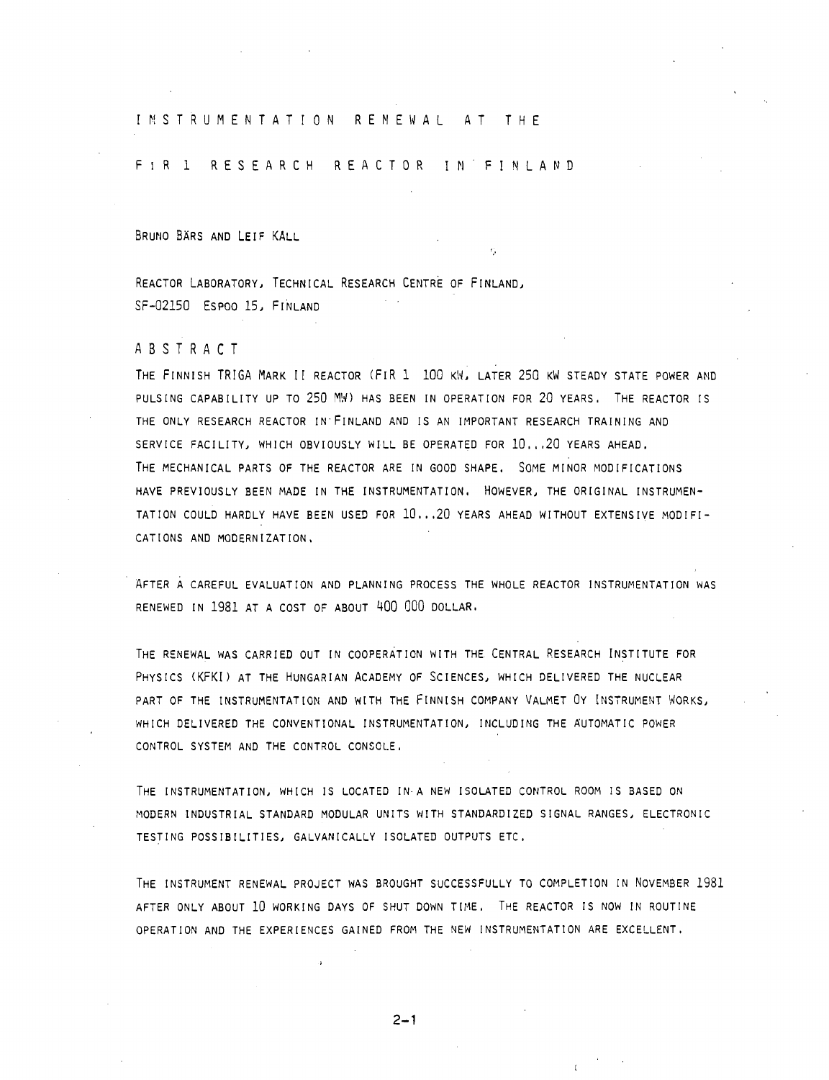## INSTRUMENTATION RENEWAL AT THE

# FIR 1 RESEARCH REACTOR IN FINLAND

BRUNO BÄRS AND LEIF KALL

REACTOR LABORATORY, TECHNICAL RESEARCH CENTRE OF FINLAND, SF-02150 ESPOO 15, FINLAND

#### ABSTRAC T

THE FINNISH TRIGA MARK II REACTOR (FIR 1 100 KW, LATER 250 KW STEADY STATE POWER AND PULSING CAPABILITY UP TO 250 MW) HAS BEEN IN OPERATION FOR 20 YEARS. THE REACTOR IS THE ONLY RESEARCH REACTOR IN'FINLAND AND IS AN IMPORTANT RESEARCH TRAINING AND SERVICE FACILITY, WHICH OBVIOUSLY WILL BE OPERATED FOR 10...20 YEARS AHEAD. THE MECHANICAL PARTS OF THE REACTOR ARE IN GOOD SHAPE. SOME MINOR MODIFICATIONS HAVE PREVIOUSLY BEEN MADE IN THE INSTRUMENTATION. HOWEVER, THE ORIGINAL INSTRUMEN-TATION COULD HARDLY HAVE BEEN USED FOR 10...20 YEARS AHEAD WITHOUT EXTENSIVE MODIFI-CATIONS AND MODERNIZATION,

AFTER A CAREFUL EVALUATION AND PLANNING PROCESS THE WHOLE REACTOR INSTRUMENTATION WAS RENEWED IN 1981 AT A COST OF ABOUT 400 000 DOLLAR.

THE RENEWAL WAS CARRIED OUT IN COOPERATION WITH THE CENTRAL RESEARCH INSTITUTE FOR PHYSICS (KFKI) AT THE HUNGARIAN ACADEMY OF SCIENCES, WHICH DELIVERED THE NUCLEAR PART OF THE INSTRUMENTATION AND WITH THE FINNISH COMPANY VALMET 0Y INSTRUMENT WORKS, WHICH DELIVERED THE CONVENTIONAL INSTRUMENTATION, INCLUDING THE AUTOMATIC POWER CONTROL SYSTEM AND THE CONTROL CONSOLE.

THE INSTRUMENTATION, WHICH IS LOCATED IN-A NEW ISOLATED CONTROL ROOM IS BASED ON MODERN INDUSTRIAL STANDARD MODULAR UNITS WITH STANDARDIZED SIGNAL RANGES, ELECTRONIC TESTING POSSIBILITIES, GALVANICALLY ISOLATED OUTPUTS ETC.

THE INSTRUMENT RENEWAL PROJECT WAS BROUGHT SUCCESSFULLY TO COMPLETION IN NOVEMBER 1981 AFTER ONLY ABOUT 10 WORKING DAYS OF SHUT DOWN TIME. THE REACTOR IS NOW IN ROUTINE OPERATION AND THE EXPERIENCES GAINED FROM THE NEW INSTRUMENTATION ARE EXCELLENT.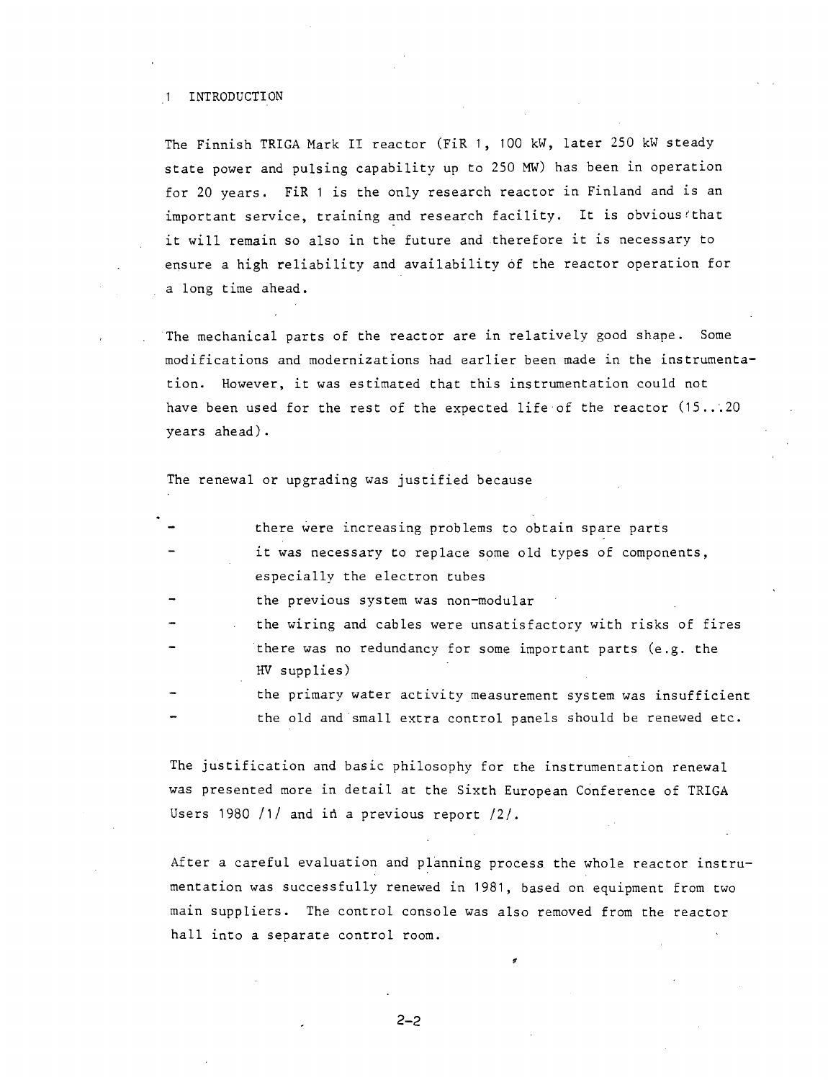#### 1 INTRODUCTION

The Finnish TRIGA Mark II reactor (FiR 1, 100 kW, later 250 kW steady state power and pulsing capability up to 250 MW) has been in operation for 20 years. FiR 1 is the only research reactor in Finland and is an important service, training and research facility. It is obvious''that it will remain so also in the future and therefore it is necessary to ensure a high reliability and availability of the reactor operation for a long time ahead.

The mechanical parts of the reactor are in relatively good shape. Some modifications and modernizations had earlier been made in the instrumentation. However, it was estimated that this instrumentation could not have been used for the rest of the expected life of the reactor (15...20 years ahead).

## The renewal or upgrading was justified because

| $\qquad \qquad \blacksquare$ | there were increasing problems to obtain spare parts           |
|------------------------------|----------------------------------------------------------------|
| $\qquad \qquad -$            | it was necessary to replace some old types of components,      |
|                              | especially the electron tubes                                  |
| $\overline{\phantom{a}}$     | the previous system was non-modular                            |
| $\mathcal{L}^{\text{max}}$   | the wiring and cables were unsatisfactory with risks of fires  |
|                              | there was no redundancy for some important parts (e.g. the     |
|                              | HV supplies)                                                   |
|                              | the primary water activity measurement system was insufficient |
|                              | the old and small extra control panels should be renewed etc.  |

The justification and basic philosophy for the instrumentation renewal was presented more in detail at the Sixth European Conference of TRIGA Users 1980 /1/ and in a previous report /2/.

After a careful evaluation and planning process, the whole reactor instrumentation was successfully renewed in 1981, based on equipment from two main suppliers. The control console was also removed from the reactor hall into a separate control room.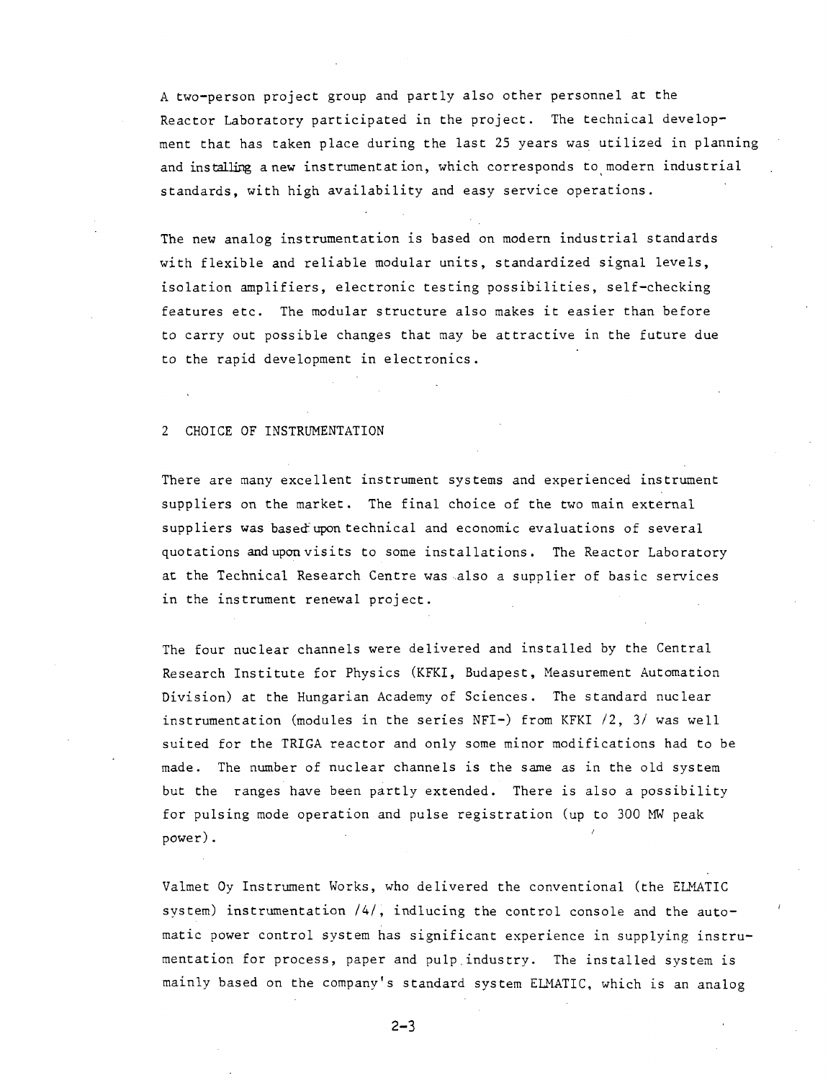A two-person project group and partly also other personnel at the Reactor Laboratory participated in the project. The technical development that has taken place during the last 25 years was utilized in planning and installing anew instrumentation, which corresponds to modern industrial standards, with high availability and easy service operations.

The new analog instrumentation is based on modern industrial standards with flexible and reliable modular units, standardized signal levels, isolation amplifiers, electronic testing possibilities, self-checking features etc. The modular structure also makes it easier than before to carry out possible changes that may be attractive in the future due to the rapid development in electronics.

# 2 CHOICE OF INSTRUMENTATION

There are many excellent instrument systems and experienced instrument suppliers on the market. The final choice of the two main external suppliers was based"upon technical and economic evaluations of several quotations and upon visits to some installations. The Reactor Laboratory at the Technical Research Centre was also a supplier of basic services in the instrument renewal project.

The four nuclear channels were delivered and installed by the Central Research Institute for Physics (KFKI, Budapest, Measurement Automation Division) at the Hungarian Academy of Sciences. The standard nuclear instrumentation (modules in the series NFI-) from KFKI *12,* 3/ was well suited for the TRIGA reactor and only some minor modifications had to be made. The number of nuclear channels is the same as in the old system but the ranges have been partly extended. There is also a possibility for pulsing mode operation and pulse registration (up to 300 MW peak power).

Valmet Oy Instrument Works, who delivered the conventional (the ELMATIC system) instrumentation /4/, indlucing the control console and the automatic power control system has significant experience in supplying instrumentation for process, paper and pulp.industry. The installed system is mainly based on the company's standard system ELMATIC, which is an analog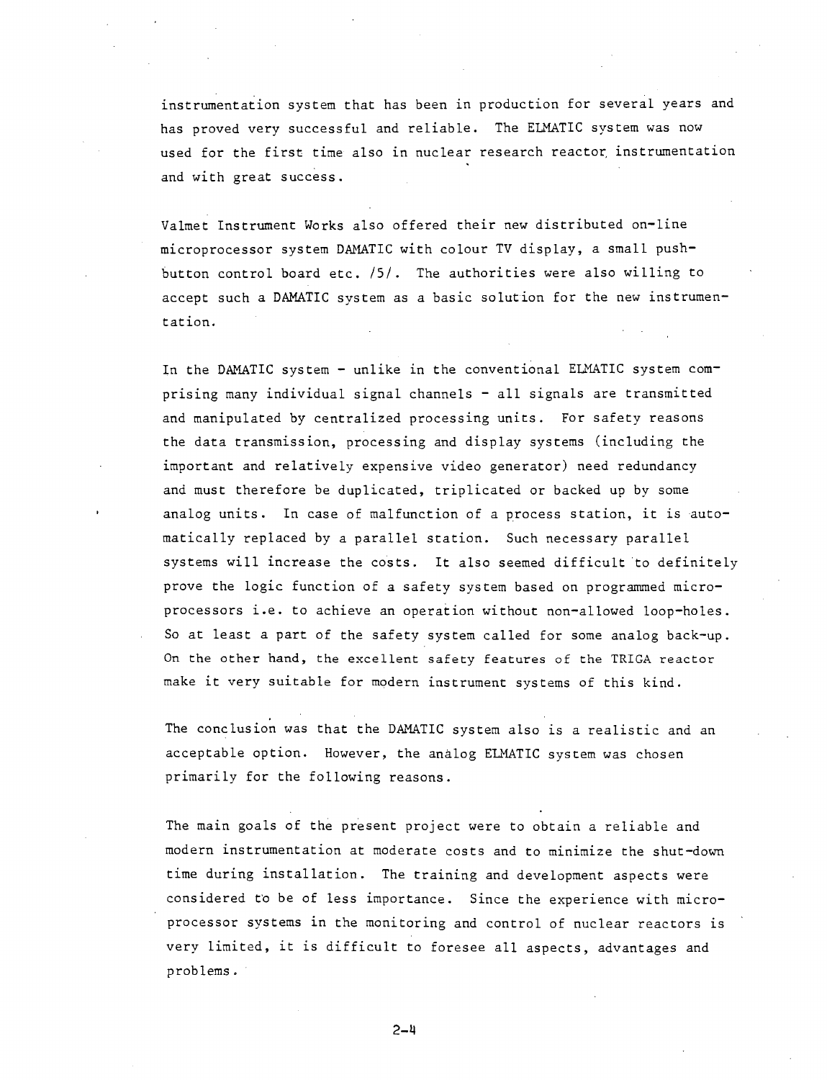instrumentation system that has been in production for several years and has proved very successful and reliable. The ELMATIC system was now used for the first time also in nuclear research reactor instrumentation and with great success.

Valmet Instrument Works also offered their new distributed on-line microprocessor system DAMATIC with colour TV display, a small pushbutton control board etc. /5/. The authorities were also willing to accept such a DAMATIC system as a basic solution for the new instrumentation.

In the DAMATIC system - unlike in the conventional ELMATIC system comprising many individual signal channels - all signals are transmitted and manipulated by centralized processing units. For safety reasons the data transmission, processing and display systems (including the important and relatively expensive video generator) need redundancy and must therefore be duplicated, triplicated or backed up by some analog units. In case of malfunction of a process station, it is automatically replaced by a parallel station. Such necessary parallel systems will increase the costs. It also seemed difficult to definitely prove the logic function of a safety system based on programmed microprocessors i.e. to achieve an operation without non-allowed loop-holes. So at least a part of the safety system called for some analog back-up. On the other hand, the excellent safety features of the TRIGA reactor make it very suitable for modern instrument systems of this kind.

The conclusion was that the DAMATIC system also is a realistic and an acceptable option. However, the analog ELMATIC system was chosen primarily for the following reasons.

The main goals of the present project were to obtain a reliable and modern instrumentation at moderate costs and to minimize the shut-down time during installation. The training and development aspects were considered to be of less importance. Since the experience with microprocessor systems in the monitoring and control of nuclear reactors is very limited, it is difficult to foresee all aspects, advantages and problems.

2-M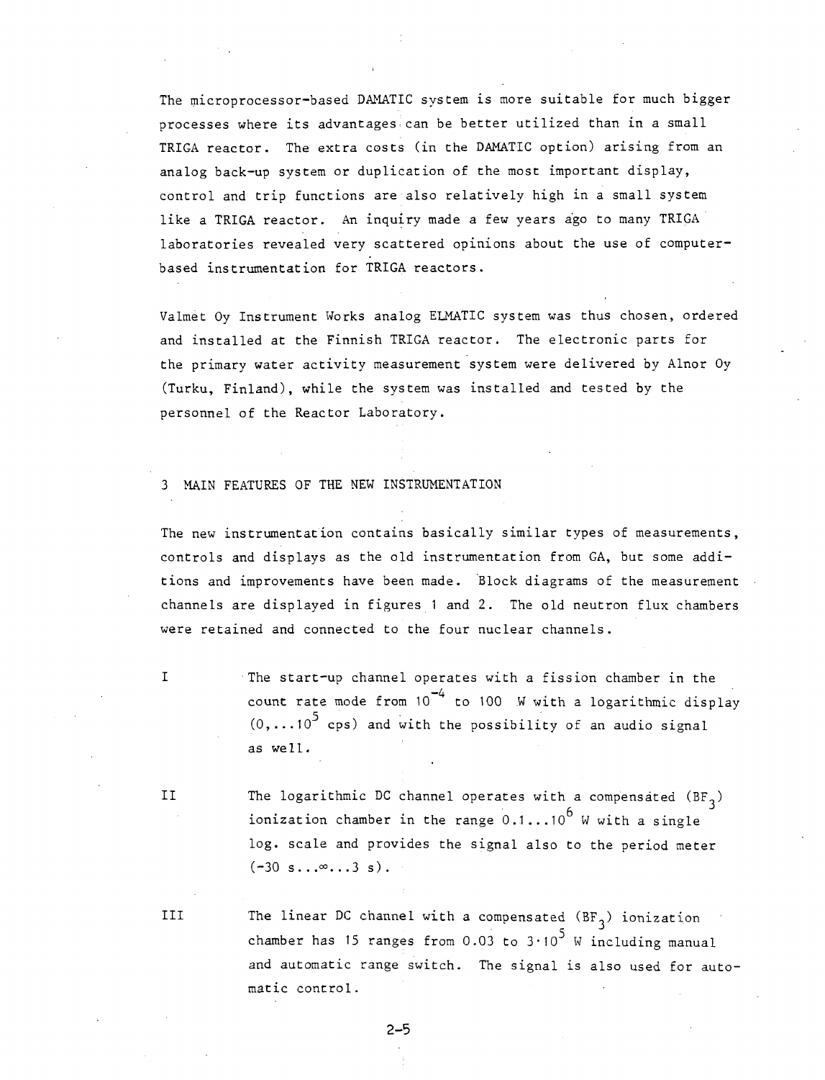The microprocessor-based DAMATIC system is more suitable for much bigger processes where its advantages can be better utilized than in a small TRIGA reactor. The extra costs (in the DAMATIC option) arising from an analog back-up system or duplication of the most important display, control and trip functions are also relatively high in a small system like a TRIGA reactor. An inquiry made a few years ago to many TRIGA laboratories revealed very scattered opinions about the use of computerbased instrumentation for TRIGA reactors.

Valmet Oy Instrument Works analog ELMATIC system was thus chosen, ordered and installed at the Finnish TRIGA reactor. The electronic parts for the primary water activity measurement system were delivered by Alnor Oy (Turku, Finland), while the system was installed and tested by the personnel of the Reactor Laboratory.

## MAIN FEATURES OF THE NEW INSTRUMENTATION

The new instrumentation contains basically similar types of measurements, controls and displays as the old instrumentation from GA, but some additions and improvements have been made. Block diagrams of the measurement channels are displayed in figures 1 and 2. The old neutron flux chambers were retained and connected to the four nuclear channels.

> The start-up channel operates with a fission chamber in the count rate mode from 10<sup>-4</sup> to 100 W with a logarithmic display  $(0, \ldots 10^5$  cps) and with the possibility of an audio signal as we 11.

 $\mathbf I$ 

II The logarithmic DC channel operates with a compensated  $(BF_3)$ ionization chamber in the range  $0.1...10^6$  W with a single log. scale and provides the signal also to the period meter  $(-30 \text{ s}... \infty ... 3 \text{ s}).$ 

III The linear DC channel with a compensated  $(BF_3)$  ionization chamber has 15 ranges from 0.03 to 3.10<sup>5</sup> W including manual and automatic range switch. The signal is also used for automatic control.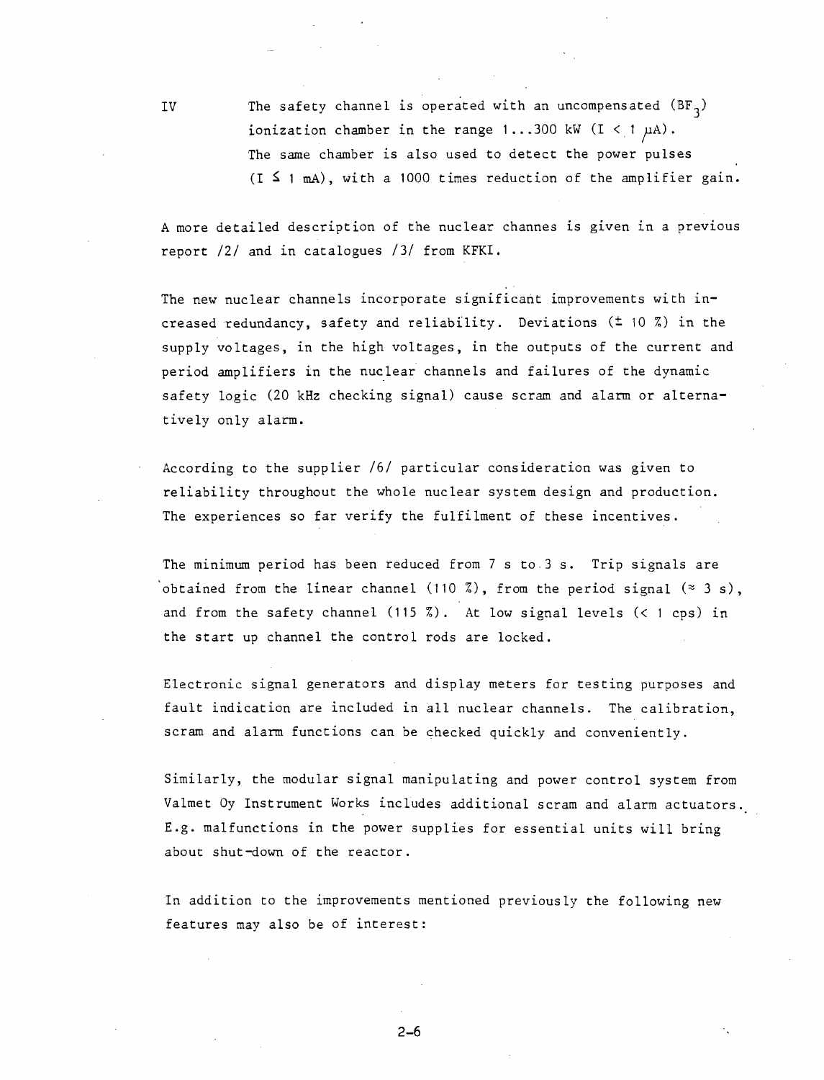IV The safety channel is operated with an uncompensated  $(BF<sub>2</sub>)$ ionization chamber in the range 1...300 kW (I < 1  $\mu$ A). The same chamber is also used to detect the power pulses  $(I \nI \nIn A)$ , with a 1000 times reduction of the amplifier gain.

A more detailed description of the nuclear channes is given in a previous report *111* and in catalogues /3/ from KFKI.

The new nuclear channels incorporate significant improvements with increased redundancy, safety and reliability. Deviations (± 10 %) in the supply voltages, in the high voltages, in the outputs of the current and period amplifiers in the nuclear channels and failures of the dynamic safety logic (20 kHz checking signal) cause scram and alarm or alternatively only alarm.

According to the supplier /6/ particular consideration was given to reliability throughout the whole nuclear system design and production. The experiences so far verify the fulfilment of these incentives.

The minimum period has been reduced from 7 s to.3 s. Trip signals are obtained from the linear channel (110 %), from the period signal  $(3 s)$ , and from the safety channel (115 %). At low signal levels  $($  t cps) in the start up channel the control rods are locked.

Electronic signal generators and display meters for testing purposes and fault indication are included in all nuclear channels. The calibration, scram and alarm functions can be checked quickly and conveniently.

Similarly, the modular signal manipulating and power control system from Valmet Oy Instrument Works includes additional scram and alarm actuators. E.g. malfunctions in the power supplies for essential units will bring about shut-down of the reactor.

In addition to the improvements mentioned previously the following new features may also be of interest: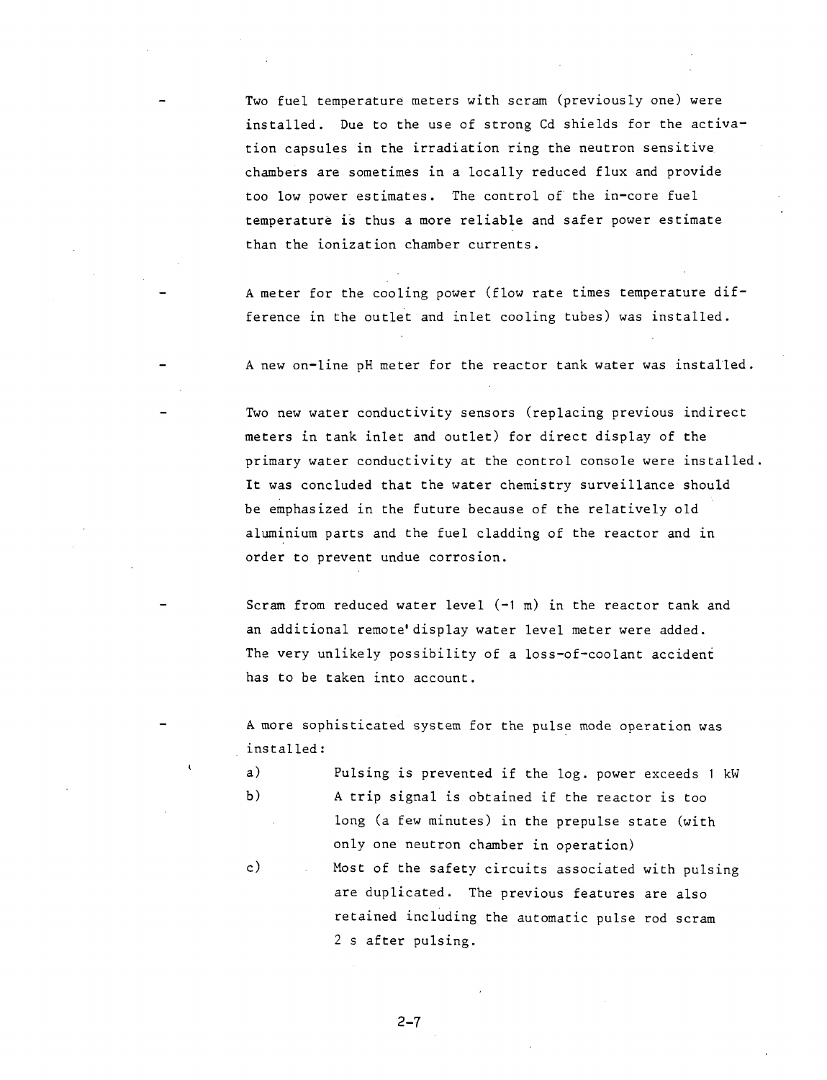Two fuel temperature meters with scram (previously one) were installed. Due to the use of strong Cd shields for the activation capsules in the irradiation ring the neutron sensitive chambers are sometimes in a locally reduced flux and provide too low power estimates. The control of the in-core fuel temperature is thus a more reliable and safer power estimate than the ionization chamber currents.

A meter for the cooling power (flow rate times temperature difference in the outlet and inlet cooling tubes) was installed.

A new on-line pH meter for the reactor tank water was installed.

Two new water conductivity sensors (replacing previous indirect meters in tank inlet and outlet) for direct display of the primary water conductivity at the control console were installed. It was concluded that the water chemistry surveillance should be emphasized in the future because of the relatively old aluminium parts and the fuel cladding of the reactor and in order to prevent undue corrosion.

Scram from reduced water level  $(-1 \text{ m})$  in the reactor tank and an additional remote'display water level meter were added. The very unlikely possibility of a loss-of-coolant accident has to be taken into account.

A more sophisticated system for the pulse mode operation was installed:

- a) Pulsing is prevented if the log. power exceeds 1 kW b) A trip signal is obtained if the reactor is too long (a few minutes) in the prepulse state (with only one neutron chamber in operation)
- c) Most of the safety circuits associated with pulsing are duplicated. The previous features are also retained including the automatic pulse rod scram 2 s after pulsing.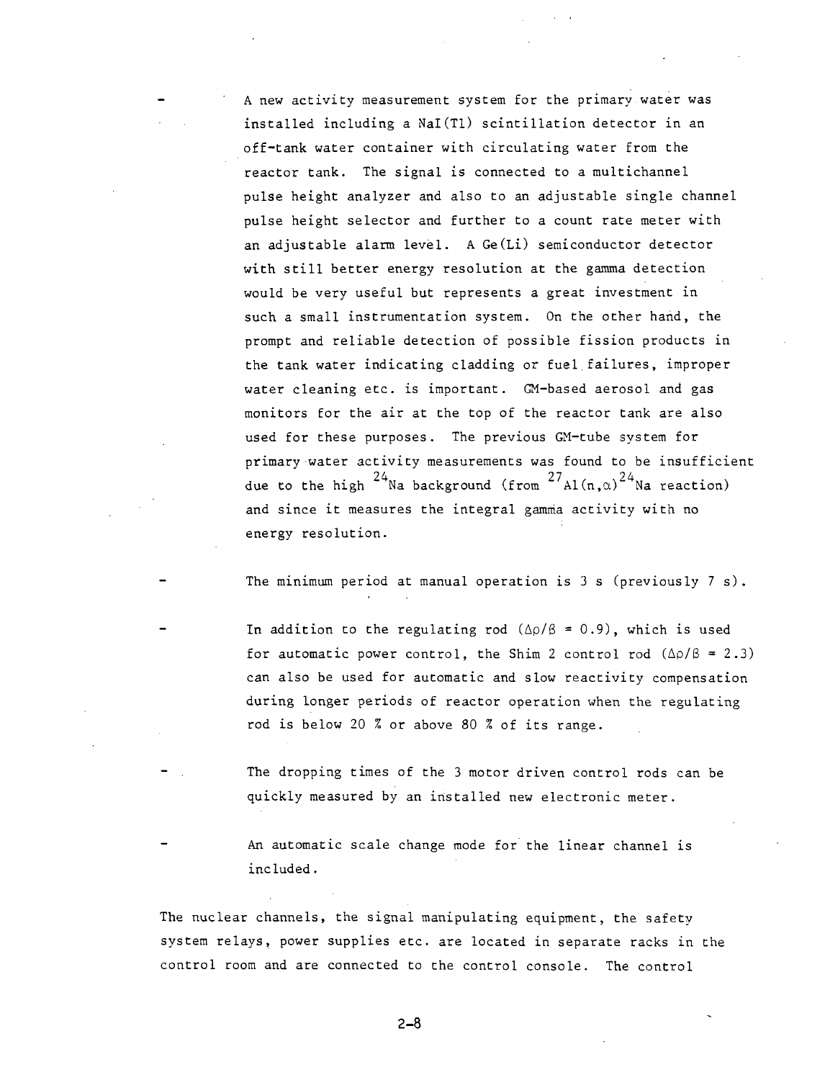A new activity measurement system for the primary water was installed including a Nal(Tl) scintillation detector in an off-tank water container with circulating water from the reactor tank. The signal is connected to a multichannel pulse height analyzer and also to an adjustable single channel pulse height selector and further to a count rate meter with an adjustable alarm level. A Ge(Li) semiconductor detector with still better energy resolution at the gamma detection would be very useful but represents a great investment in such a small instrumentation system. On the other hand, the prompt and reliable detection of possible fission products in the tank water indicating cladding or fuel failures, improper water cleaning etc. is important. GM-based aerosol and gas monitors for the air at the top of the reactor tank are also used for these purposes. The previous GM-tube system for primary-water activity measurements was found to be insufficient due to the high  $^{24}$ Na background (from  $^{27}$ Al(n,a)<sup>24</sup>Na reaction) and since it measures the integral gamma activity with no energy resolution.

The minimum period at manual operation is 3 s (previously 7 s).

In addition to the regulating rod  $(\Delta \rho / \beta = 0.9)$ , which is used for automatic power control, the Shim 2 control rod  $(\Delta \rho/\beta = 2.3)$ can also be used for automatic and slow reactivity compensation during longer periods of reactor operation when the regulating rod is below 20 % or above 80 % of its range.

The dropping times of the 3 motor driven control rods can be quickly measured by an installed new electronic meter.

An automatic scale change mode for the linear channel is included.

The nuclear channels, the signal manipulating equipment, the safety system relays, power supplies etc. are located in separate racks in the control room and are connected to the control console. The control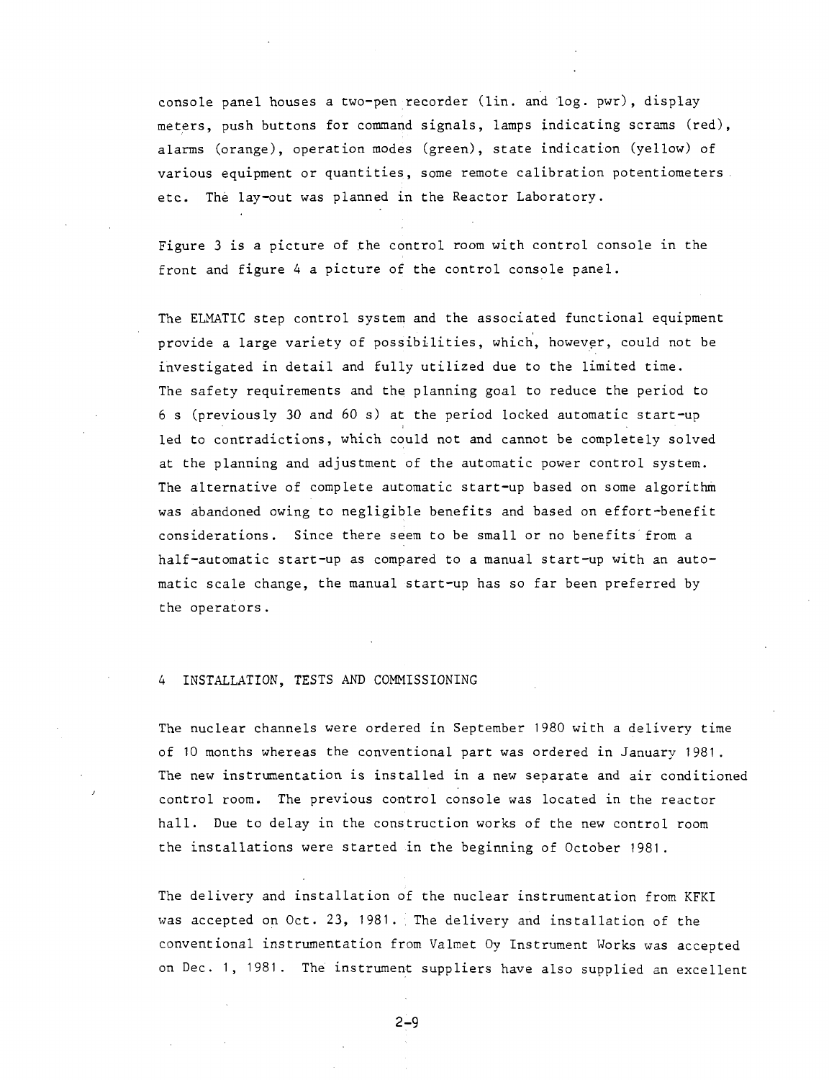console panel houses a two-pen recorder (lin. and log. pwr) , displaymeters, push buttons for command signals, lamps indicating scrams (red), alarms (orange), operation modes (green), state indication (yellow) of various equipment or quantities, some remote calibration potentiometers, etc. The lay-out was planned in the Reactor Laboratory.

Figure 3 is a picture of the control room with control console in the front and figure 4 a picture of the control console panel.

The ELMATIC step control system and the associated functional equipment provide a large variety of possibilities, which, however, could not be investigated in detail and fully utilized due to the limited time. The safety requirements and the planning goal to reduce the period to 6 s (previously *30* and 60 s) at the period locked automatic start-up led to contradictions, which could not and cannot be completely solved at the planning and adjustment of the automatic power control system. The alternative of complete automatic start-up based on some algorithm was abandoned owing to negligible benefits and based on effort-benefit considerations. Since there seem to be small or no benefits from a half-automatic start-up as compared to a manual start-up with an automatic scale change, the manual start-up has so far been preferred by the operators .

## 4 INSTALLATION, TESTS AND COMMISSIONING

The nuclear channels were ordered in September 1980 with a delivery time of 10 months whereas the conventional part was ordered in January 1981. The new instrumentation is installed in a new separate and air conditioned control room. The previous control console was located in the reactor hall. Due to delay in the construction works of the new control room the installations were started in the beginning of October 1981.

The delivery and installation of the nuclear instrumentation from KFKI was accepted on Oct. 23, 1981. The delivery and installation of the conventional instrumentation from Valmet Oy Instrument Works was accepted on Dec. 1, 1981. The instrument suppliers have also supplied an excellent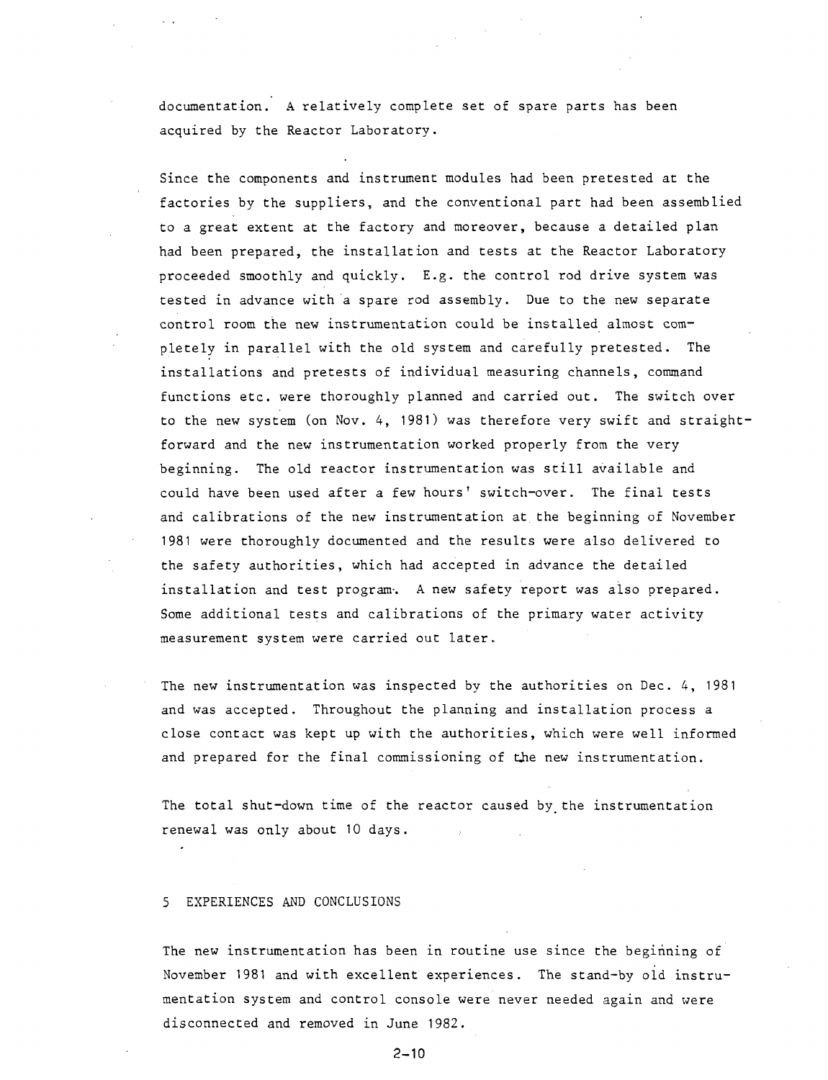documentation. A relatively complete set of spare parts has been acquired by the Reactor Laboratory.

Since the components and instrument modules had been pretested at the factories by the suppliers, and the conventional part had been assemblied to a great extent at the factory and moreover, because a detailed plan had been prepared, the installation and tests at the Reactor Laboratory proceeded smoothly and quickly. E.g. the control rod drive system was tested in advance with a spare rod assembly. Due to the new separate control room the new instrumentation could be installed almost completely in parallel with the old system and carefully pretested. The installations and pretests of individual measuring channels, command functions etc. were thoroughly planned and carried out. The switch over to the new system (on Nov. 4, 1981) was therefore very swift and straightforward and the new instrumentation worked properly from the very beginning. The old reactor instrumentation was still available and could have been used after a few hours' switch-over. The final tests and calibrations of the new instrumentation at the beginning of November 1981 were thoroughly documented and the results were also delivered to the safety authorities, which had accepted in advance the detailed installation and test program. A new safety report was also prepared. Some additional tests and calibrations of the primary water activity measurement system were carried out later.

The new instrumentation was inspected by the authorities on Dec. 4, 1981 and was accepted. Throughout the planning and installation process a close contact was kept up with the authorities, which were well informed and prepared for the final commissioning of the new instrumentation.

The total shut-down time of the reactor caused by the instrumentation renewal was only about 10 days.

#### 5 EXPERIENCES AND CONCLUSIONS

The new instrumentation has been in routine use since the beginning of November 1981 and with excellent experiences. The stand-by old instrumentation system and control console were never needed again and were disconnected and removed in June 1982.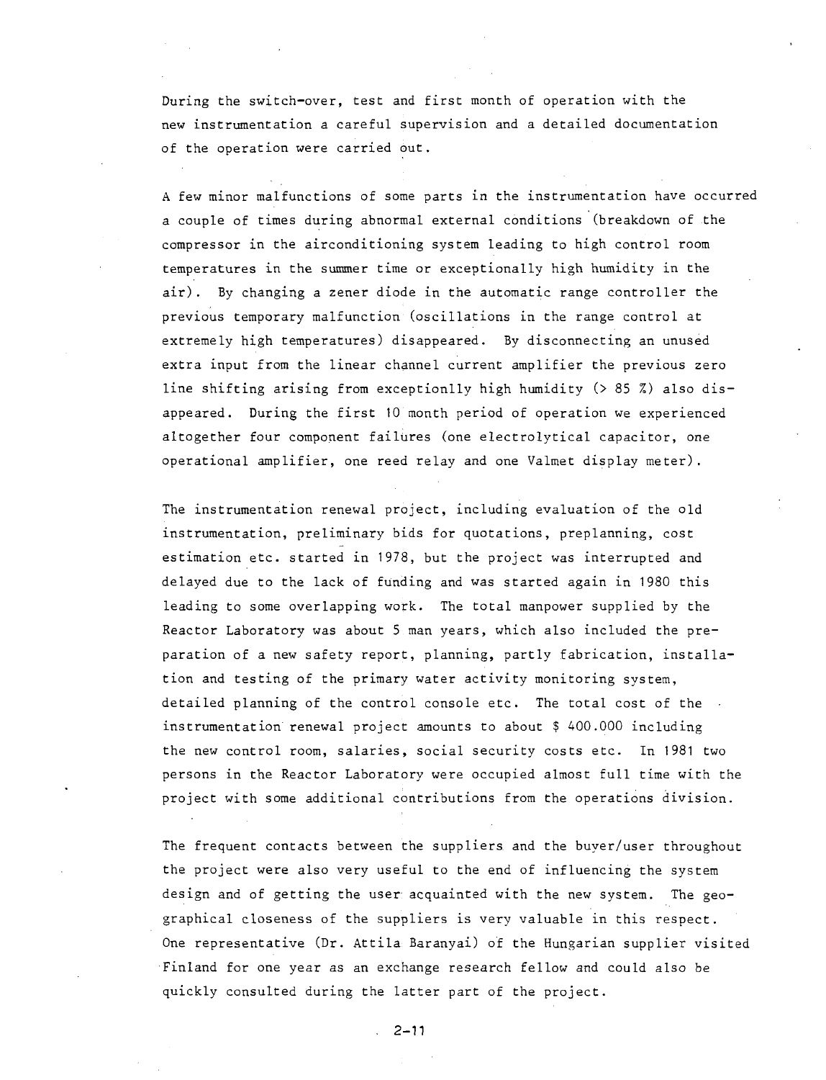During the switch-over, test and first month of operation with the new instrumentation a careful supervision and a detailed documentation of the operation were carried out.

A few minor malfunctions of some parts in the instrumentation have occurred a couple of times during abnormal external conditions (breakdown of the compressor in the airconditioning system leading to high control room temperatures in the summer time or exceptionally high humidity in the air) . By changing a zener diode in the automatic range controller the previous temporary malfunction (oscillations in the range control at extremely high temperatures) disappeared. By disconnecting an unused extra input from the linear channel current amplifier the previous zero line shifting arising from exceptionlly high humidity (> 85 %) also disappeared. During the first 10 month period of operation we experienced altogether four component failures (one electrolytical capacitor, one operational amplifier, one reed relay and one Valmet display meter).

The instrumentation renewal project, including evaluation of the old instrumentation, preliminary bids for quotations, preplanning, cost estimation etc. started in 1978, but the project was interrupted and delayed due to the lack of funding and was started again in 1980 this leading to some overlapping work. The total manpower supplied by the Reactor Laboratory was about 5 man years, which also included the preparation of a new safety report, planning, partly fabrication, installation and testing of the primary water activity monitoring system, detailed planning of the control console etc. The total cost of the instrumentation renewal project amounts to about \$ 400.000 including the new control room, salaries, social security costs etc. In 1981 two persons in the Reactor Laboratory were occupied almost full time with the project with some additional contributions from the operations division.

The frequent contacts between the suppliers, and the buyer/user throughout the project were also very useful to the end of influencing the system design and of getting the user acquainted with the new system. The geographical closeness of the suppliers is very valuable in this respect. One representative (Dr. Attila Baranyai) of the Hungarian supplier visited Finland for one year as an exchange research fellow and could also be quickly consulted during the latter part of the project.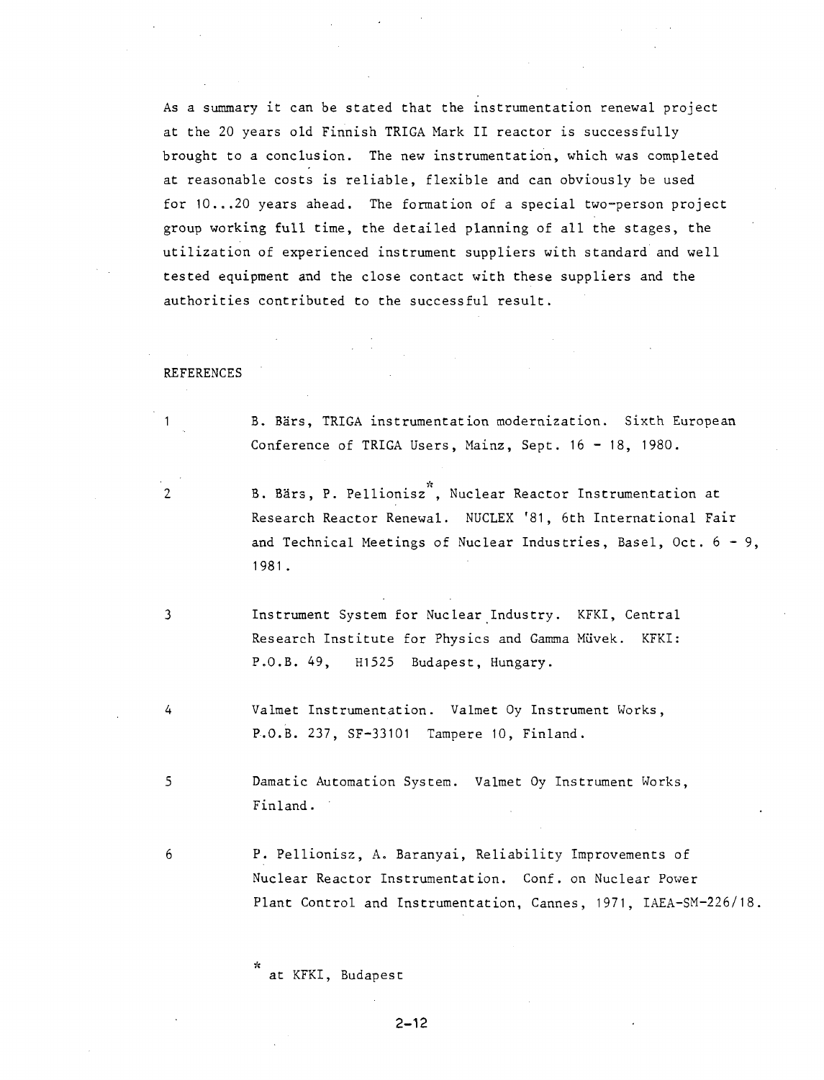As a summary it can be stated that the instrumentation renewal project at the 20 years old Finnish TRIGA Mark II reactor is successfully brought to a conclusion. The new instrumentation, which was completed at reasonable costs is reliable, flexible and can obviously be used for 10. ..20 years ahead. The formation of a special two-person project group working full time, the detailed planning of all the stages, the utilization of experienced instrument suppliers with standard and well tested equipment and the close contact with these suppliers and the authorities contributed to the successful result.

#### REFERENCES

B. Bärs, TRIGA instrumentation modernization. Sixth European Conference of TRIGA Users, Mainz, Sept. 16 - 18, 1980.

2 B. Bärs, P. Pellionisz<sup>3</sup>, Nuclear Reactor Instrumentation at Research Reactor Renewal. NUCLEX '81, 6th International Fair and Technical Meetings of Nuclear Industries, Basel, Oct.  $6 - 9$ , 1981.

3 Instrument System for Nuclear Industry. KFKI, Central Research Institute for Physics and Gamma Miivek. KFKI: P.O.B. 49, H1525 Budapest, Hungary.

4 Valmet Instrumentation. Valmet Oy Instrument Works, P.O.B. 237, SF-33101 Tampere 10, Finland.

5 Damatic Automation System. Valmet Oy Instrument Works, Finland.

6 P. Pellionisz, A. Baranyai, Reliability Improvements of Nuclear Reactor Instrumentation. Conf. on Nuclear Power Plant Control and Instrumentation, Cannes, 1971, IAEA-SM-226/18.

at KFKI, Budapest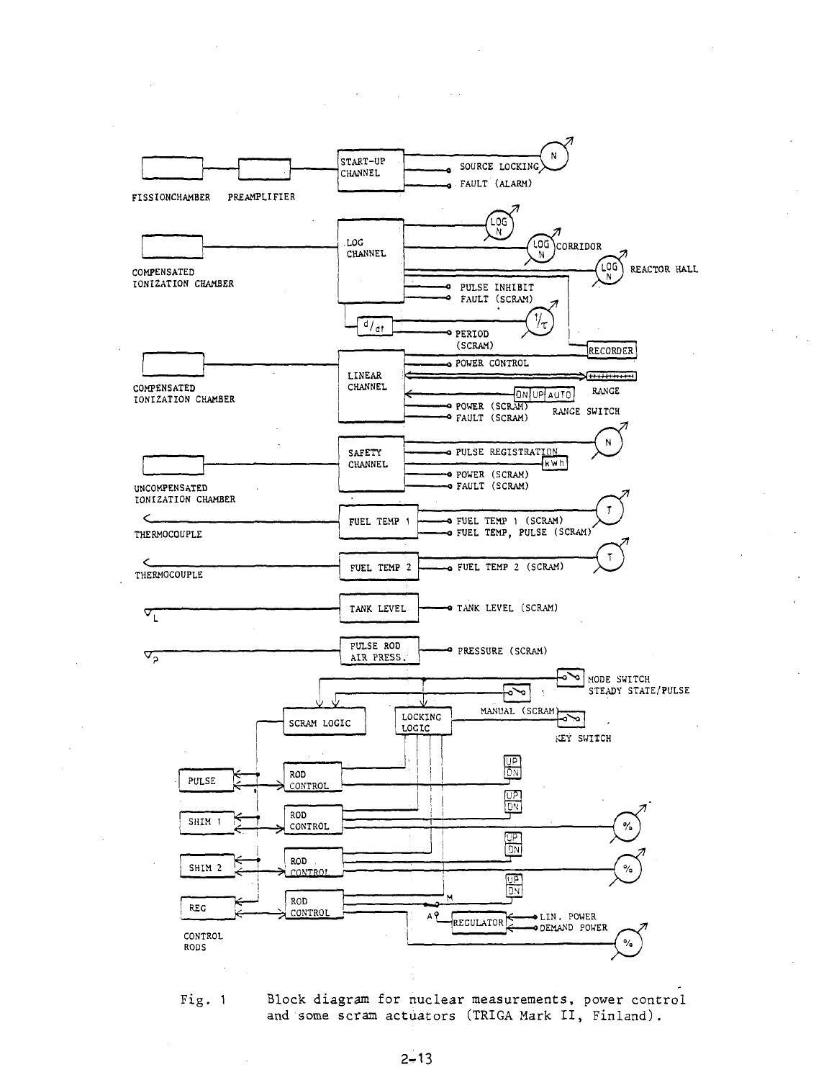



Fig. 1 Block diagram for nuclear measurements, power control and some scram actuators (TRIGA Mark II, Finland).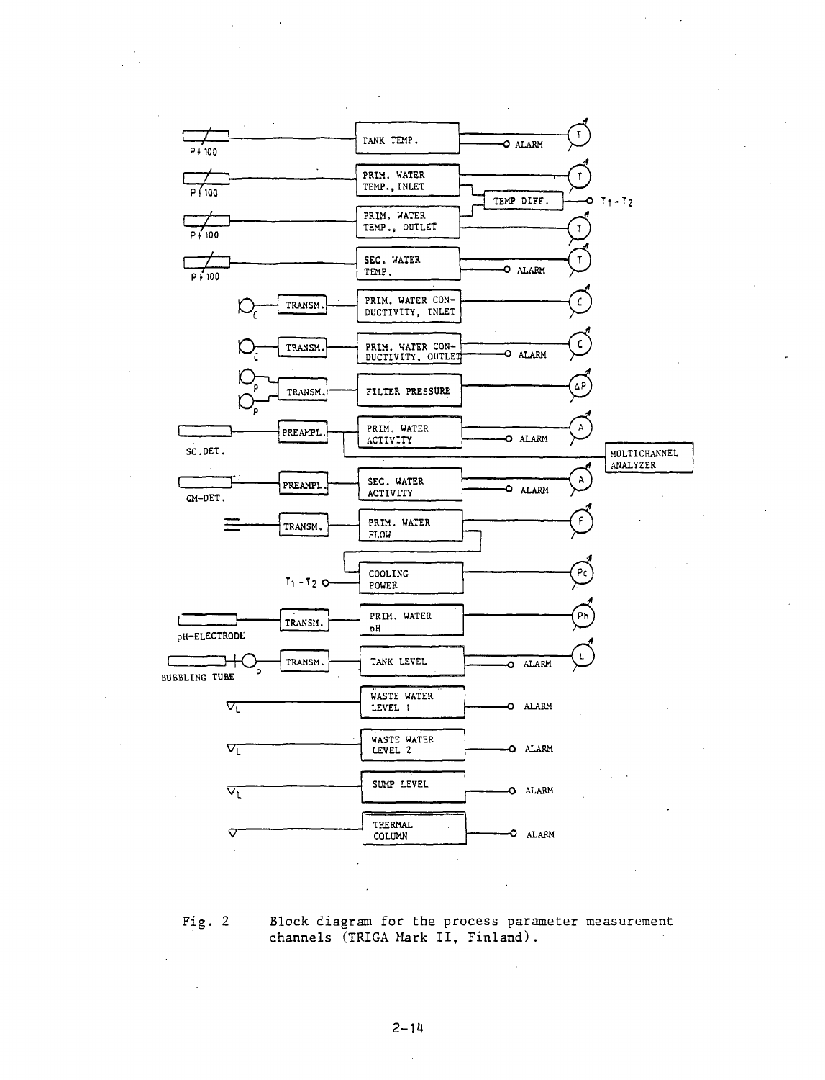

Fig, 2 Block diagram for the process parameter measurement channels (TRIGA Mark II, Finland).